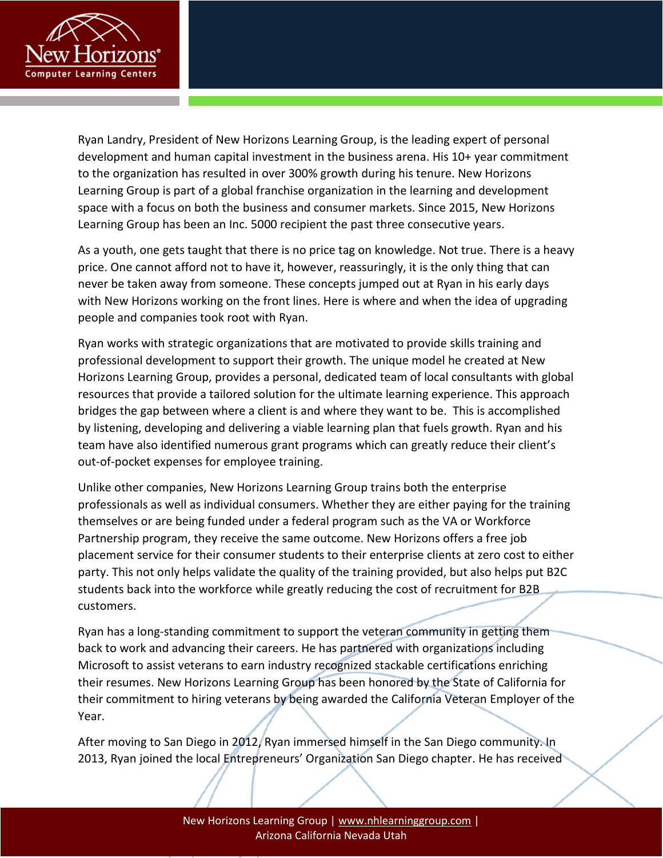

Ryan Landry, President of New Horizons Learning Group, is the leading expert of personal development and human capital investment in the business arena. His 10+ year commitment to the organization has resulted in over 300% growth during his tenure. New Horizons Learning Group is part of a global franchise organization in the learning and development space with a focus on both the business and consumer markets. Since 2015, New Horizons Learning Group has been an Inc. 5000 recipient the past three consecutive years.

As a youth, one gets taught that there is no price tag on knowledge. Not true. There is a heavy price. One cannot afford not to have it, however, reassuringly, it is the only thing that can never be taken away from someone. These concepts jumped out at Ryan in his early days with New Horizons working on the front lines. Here is where and when the idea of upgrading people and companies took root with Ryan.

Ryan works with strategic organizations that are motivated to provide skills training and professional development to support their growth. The unique model he created at New Horizons Learning Group, provides a personal, dedicated team of local consultants with global resources that provide a tailored solution for the ultimate learning experience. This approach bridges the gap between where a client is and where they want to be. This is accomplished by listening, developing and delivering a viable learning plan that fuels growth. Ryan and his team have also identified numerous grant programs which can greatly reduce their client's out-of-pocket expenses for employee training.

Unlike other companies, New Horizons Learning Group trains both the enterprise professionals as well as individual consumers. Whether they are either paying for the training themselves or are being funded under a federal program such as the VA or Workforce Partnership program, they receive the same outcome. New Horizons offers a free job placement service for their consumer students to their enterprise clients at zero cost to either party. This not only helps validate the quality of the training provided, but also helps put B2C students back into the workforce while greatly reducing the cost of recruitment for B2B customers.

Ryan has a long-standing commitment to support the veteran community in getting them back to work and advancing their careers. He has partnered with organizations including Microsoft to assist veterans to earn industry recognized stackable certifications enriching their resumes. New Horizons Learning Group has been honored by the State of California for their commitment to hiring veterans by being awarded the California Veteran Employer of the Year.

After moving to San Diego in 2012, Ryan immersed himself in the San Diego community. In 2013, Ryan joined the local Entrepreneurs' Organization San Diego chapter. He has received